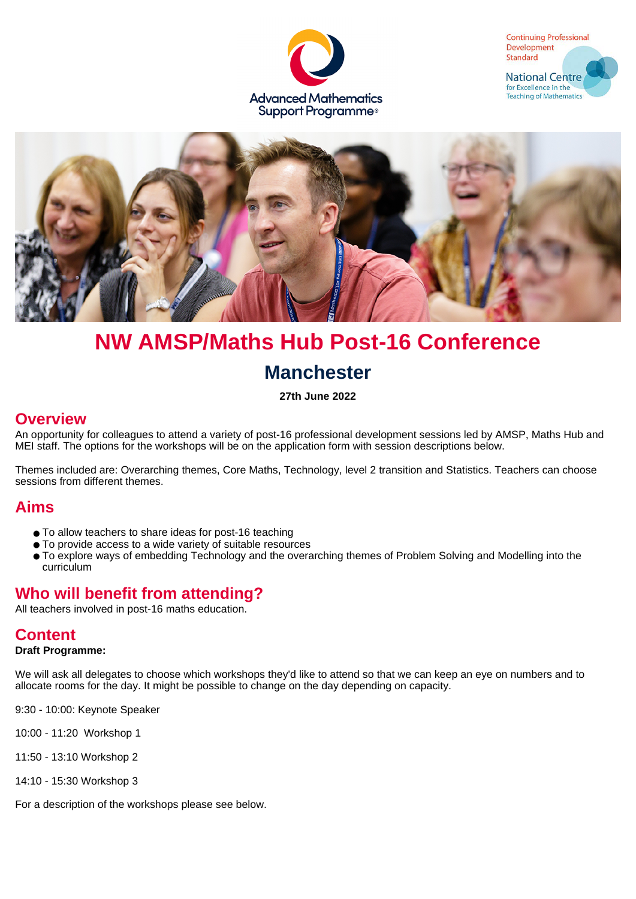





# **NW AMSP/Maths Hub Post-16 Conference Manchester**

**27th June 2022**

## **Overview**

An opportunity for colleagues to attend a variety of post-16 professional development sessions led by AMSP, Maths Hub and MEI staff. The options for the workshops will be on the application form with session descriptions below.

Themes included are: Overarching themes, Core Maths, Technology, level 2 transition and Statistics. Teachers can choose sessions from different themes.

## **Aims**

- To allow teachers to share ideas for post-16 teaching
- To provide access to a wide variety of suitable resources
- To explore ways of embedding Technology and the overarching themes of Problem Solving and Modelling into the curriculum

# **Who will benefit from attending?**

All teachers involved in post-16 maths education.

## **Content**

#### **Draft Programme:**

We will ask all delegates to choose which workshops they'd like to attend so that we can keep an eye on numbers and to allocate rooms for the day. It might be possible to change on the day depending on capacity.

9:30 - 10:00: Keynote Speaker

10:00 - 11:20 Workshop 1

11:50 - 13:10 Workshop 2

14:10 - 15:30 Workshop 3

For a description of the workshops please see below.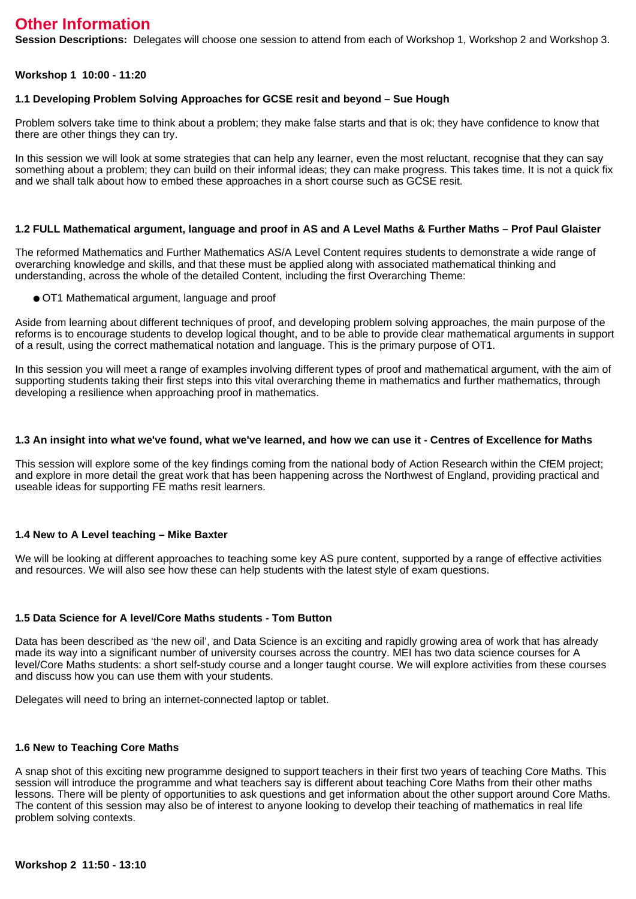# **Other Information**

**Session Descriptions:** Delegates will choose one session to attend from each of Workshop 1, Workshop 2 and Workshop 3.

#### **Workshop 1 10:00 - 11:20**

#### **1.1 Developing Problem Solving Approaches for GCSE resit and beyond – Sue Hough**

Problem solvers take time to think about a problem; they make false starts and that is ok; they have confidence to know that there are other things they can try.

In this session we will look at some strategies that can help any learner, even the most reluctant, recognise that they can say something about a problem; they can build on their informal ideas; they can make progress. This takes time. It is not a quick fix and we shall talk about how to embed these approaches in a short course such as GCSE resit.

#### **1.2 FULL Mathematical argument, language and proof in AS and A Level Maths & Further Maths – Prof Paul Glaister**

The reformed Mathematics and Further Mathematics AS/A Level Content requires students to demonstrate a wide range of overarching knowledge and skills, and that these must be applied along with associated mathematical thinking and understanding, across the whole of the detailed Content, including the first Overarching Theme:

● OT1 Mathematical argument, language and proof

Aside from learning about different techniques of proof, and developing problem solving approaches, the main purpose of the reforms is to encourage students to develop logical thought, and to be able to provide clear mathematical arguments in support of a result, using the correct mathematical notation and language. This is the primary purpose of OT1.

In this session you will meet a range of examples involving different types of proof and mathematical argument, with the aim of supporting students taking their first steps into this vital overarching theme in mathematics and further mathematics, through developing a resilience when approaching proof in mathematics.

#### **1.3 An insight into what we've found, what we've learned, and how we can use it - Centres of Excellence for Maths**

This session will explore some of the key findings coming from the national body of Action Research within the CfEM project; and explore in more detail the great work that has been happening across the Northwest of England, providing practical and useable ideas for supporting FE maths resit learners.

#### **1.4 New to A Level teaching – Mike Baxter**

We will be looking at different approaches to teaching some key AS pure content, supported by a range of effective activities and resources. We will also see how these can help students with the latest style of exam questions.

#### **1.5 Data Science for A level/Core Maths students - Tom Button**

Data has been described as 'the new oil', and Data Science is an exciting and rapidly growing area of work that has already made its way into a significant number of university courses across the country. MEI has two data science courses for A level/Core Maths students: a short self-study course and a longer taught course. We will explore activities from these courses and discuss how you can use them with your students.

Delegates will need to bring an internet-connected laptop or tablet.

#### **1.6 New to Teaching Core Maths**

A snap shot of this exciting new programme designed to support teachers in their first two years of teaching Core Maths. This session will introduce the programme and what teachers say is different about teaching Core Maths from their other maths lessons. There will be plenty of opportunities to ask questions and get information about the other support around Core Maths. The content of this session may also be of interest to anyone looking to develop their teaching of mathematics in real life problem solving contexts.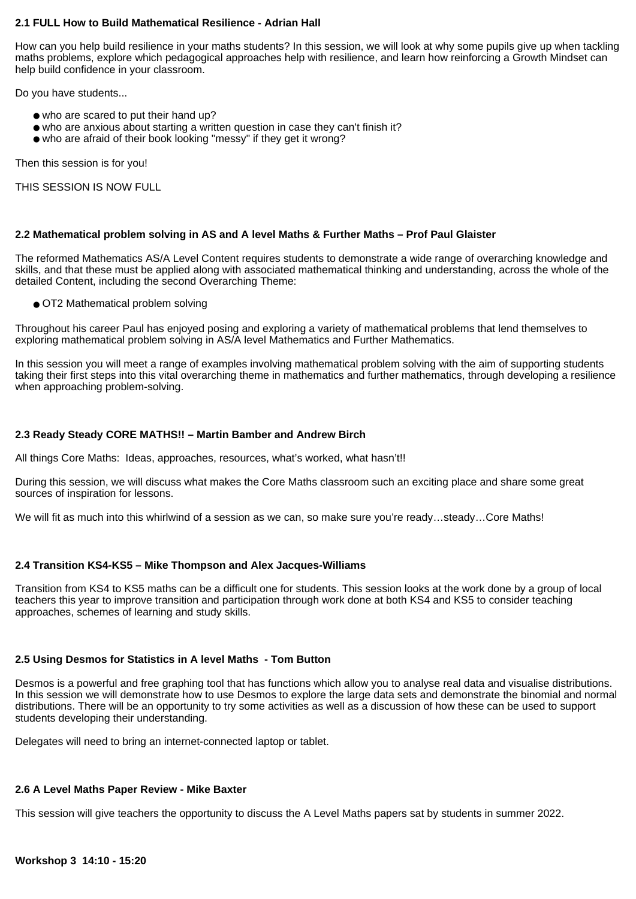#### **2.1 FULL How to Build Mathematical Resilience - Adrian Hall**

How can you help build resilience in your maths students? In this session, we will look at why some pupils give up when tackling maths problems, explore which pedagogical approaches help with resilience, and learn how reinforcing a Growth Mindset can help build confidence in your classroom.

Do you have students...

- who are scared to put their hand up?
- who are anxious about starting a written question in case they can't finish it?
- who are afraid of their book looking "messy" if they get it wrong?

Then this session is for you!

THIS SESSION IS NOW FULL

#### **2.2 Mathematical problem solving in AS and A level Maths & Further Maths – Prof Paul Glaister**

The reformed Mathematics AS/A Level Content requires students to demonstrate a wide range of overarching knowledge and skills, and that these must be applied along with associated mathematical thinking and understanding, across the whole of the detailed Content, including the second Overarching Theme:

● OT2 Mathematical problem solving

Throughout his career Paul has enjoyed posing and exploring a variety of mathematical problems that lend themselves to exploring mathematical problem solving in AS/A level Mathematics and Further Mathematics.

In this session you will meet a range of examples involving mathematical problem solving with the aim of supporting students taking their first steps into this vital overarching theme in mathematics and further mathematics, through developing a resilience when approaching problem-solving.

#### **2.3 Ready Steady CORE MATHS!! – Martin Bamber and Andrew Birch**

All things Core Maths: Ideas, approaches, resources, what's worked, what hasn't!!

During this session, we will discuss what makes the Core Maths classroom such an exciting place and share some great sources of inspiration for lessons.

We will fit as much into this whirlwind of a session as we can, so make sure you're ready…steady…Core Maths!

#### **2.4 Transition KS4-KS5 – Mike Thompson and Alex Jacques-Williams**

Transition from KS4 to KS5 maths can be a difficult one for students. This session looks at the work done by a group of local teachers this year to improve transition and participation through work done at both KS4 and KS5 to consider teaching approaches, schemes of learning and study skills.

#### **2.5 Using Desmos for Statistics in A level Maths - Tom Button**

Desmos is a powerful and free graphing tool that has functions which allow you to analyse real data and visualise distributions. In this session we will demonstrate how to use Desmos to explore the large data sets and demonstrate the binomial and normal distributions. There will be an opportunity to try some activities as well as a discussion of how these can be used to support students developing their understanding.

Delegates will need to bring an internet-connected laptop or tablet.

#### **2.6 A Level Maths Paper Review - Mike Baxter**

This session will give teachers the opportunity to discuss the A Level Maths papers sat by students in summer 2022.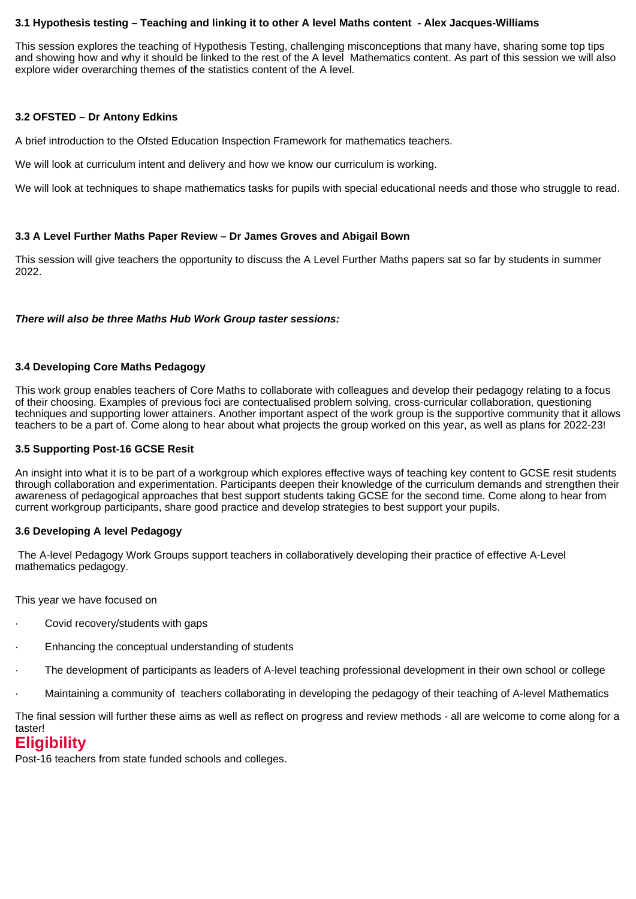#### **3.1 Hypothesis testing – Teaching and linking it to other A level Maths content - Alex Jacques-Williams**

This session explores the teaching of Hypothesis Testing, challenging misconceptions that many have, sharing some top tips and showing how and why it should be linked to the rest of the A level Mathematics content. As part of this session we will also explore wider overarching themes of the statistics content of the A level.

#### **3.2 OFSTED – Dr Antony Edkins**

A brief introduction to the Ofsted Education Inspection Framework for mathematics teachers.

We will look at curriculum intent and delivery and how we know our curriculum is working.

We will look at techniques to shape mathematics tasks for pupils with special educational needs and those who struggle to read.

#### **3.3 A Level Further Maths Paper Review – Dr James Groves and Abigail Bown**

This session will give teachers the opportunity to discuss the A Level Further Maths papers sat so far by students in summer 2022.

#### **There will also be three Maths Hub Work Group taster sessions:**

#### **3.4 Developing Core Maths Pedagogy**

This work group enables teachers of Core Maths to collaborate with colleagues and develop their pedagogy relating to a focus of their choosing. Examples of previous foci are contectualised problem solving, cross-curricular collaboration, questioning techniques and supporting lower attainers. Another important aspect of the work group is the supportive community that it allows teachers to be a part of. Come along to hear about what projects the group worked on this year, as well as plans for 2022-23!

#### **3.5 Supporting Post-16 GCSE Resit**

An insight into what it is to be part of a workgroup which explores effective ways of teaching key content to GCSE resit students through collaboration and experimentation. Participants deepen their knowledge of the curriculum demands and strengthen their awareness of pedagogical approaches that best support students taking GCSE for the second time. Come along to hear from current workgroup participants, share good practice and develop strategies to best support your pupils.

#### **3.6 Developing A level Pedagogy**

 The A-level Pedagogy Work Groups support teachers in collaboratively developing their practice of effective A-Level mathematics pedagogy.

This year we have focused on

- Covid recovery/students with gaps
- Enhancing the conceptual understanding of students
- The development of participants as leaders of A-level teaching professional development in their own school or college
- · Maintaining a community of teachers collaborating in developing the pedagogy of their teaching of A-level Mathematics

The final session will further these aims as well as reflect on progress and review methods - all are welcome to come along for a taster!

# **Eligibility**

Post-16 teachers from state funded schools and colleges.